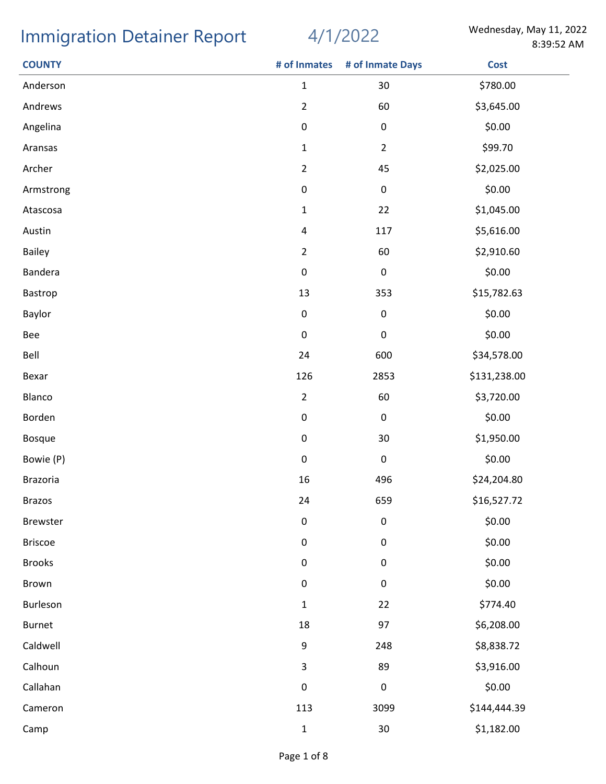## Immigration Detainer Report 4/1/2022 Wednesday, May 11, 2022

4/1/2022

| <b>COUNTY</b>  | # of Inmates   | # of Inmate Days | <b>Cost</b>  |
|----------------|----------------|------------------|--------------|
| Anderson       | $\mathbf{1}$   | 30               | \$780.00     |
| Andrews        | $\overline{2}$ | 60               | \$3,645.00   |
| Angelina       | $\mathbf 0$    | $\pmb{0}$        | \$0.00       |
| Aransas        | $\mathbf{1}$   | $\overline{2}$   | \$99.70      |
| Archer         | $\overline{2}$ | 45               | \$2,025.00   |
| Armstrong      | 0              | $\pmb{0}$        | \$0.00       |
| Atascosa       | $\mathbf{1}$   | 22               | \$1,045.00   |
| Austin         | 4              | 117              | \$5,616.00   |
| Bailey         | $\overline{2}$ | 60               | \$2,910.60   |
| Bandera        | $\pmb{0}$      | $\pmb{0}$        | \$0.00       |
| Bastrop        | 13             | 353              | \$15,782.63  |
| Baylor         | $\pmb{0}$      | $\pmb{0}$        | \$0.00       |
| Bee            | $\pmb{0}$      | $\pmb{0}$        | \$0.00       |
| Bell           | 24             | 600              | \$34,578.00  |
| Bexar          | 126            | 2853             | \$131,238.00 |
| Blanco         | $\overline{2}$ | 60               | \$3,720.00   |
| Borden         | $\pmb{0}$      | $\pmb{0}$        | \$0.00       |
| <b>Bosque</b>  | $\pmb{0}$      | 30               | \$1,950.00   |
| Bowie (P)      | $\pmb{0}$      | $\pmb{0}$        | \$0.00       |
| Brazoria       | 16             | 496              | \$24,204.80  |
| <b>Brazos</b>  | 24             | 659              | \$16,527.72  |
| Brewster       | $\pmb{0}$      | $\pmb{0}$        | \$0.00       |
| <b>Briscoe</b> | $\pmb{0}$      | $\pmb{0}$        | \$0.00       |
| <b>Brooks</b>  | $\pmb{0}$      | $\pmb{0}$        | \$0.00       |
| Brown          | 0              | $\pmb{0}$        | \$0.00       |
| Burleson       | $\mathbf{1}$   | 22               | \$774.40     |
| Burnet         | 18             | 97               | \$6,208.00   |
| Caldwell       | 9              | 248              | \$8,838.72   |
| Calhoun        | 3              | 89               | \$3,916.00   |
| Callahan       | $\pmb{0}$      | $\pmb{0}$        | \$0.00       |
| Cameron        | 113            | 3099             | \$144,444.39 |
| Camp           | $\mathbf 1$    | $30\,$           | \$1,182.00   |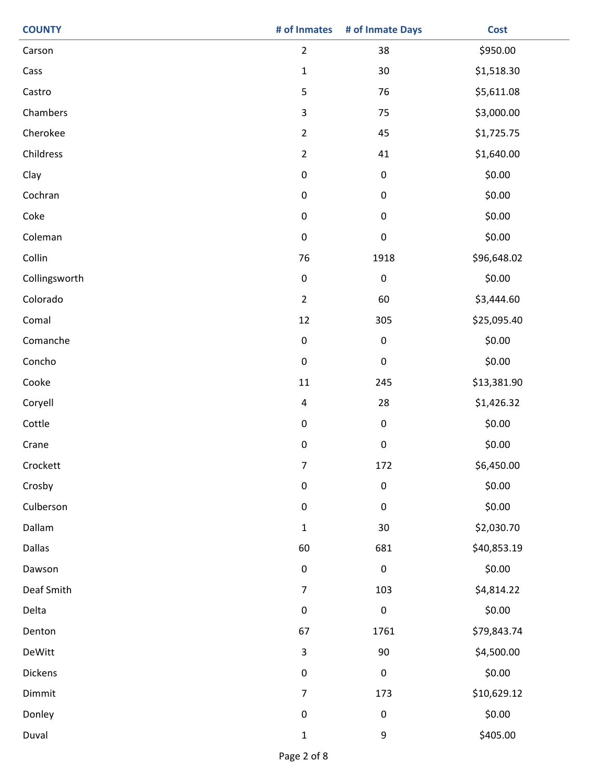| <b>COUNTY</b> | # of Inmates            | # of Inmate Days | <b>Cost</b> |
|---------------|-------------------------|------------------|-------------|
| Carson        | $\overline{2}$          | 38               | \$950.00    |
| Cass          | $\mathbf{1}$            | 30               | \$1,518.30  |
| Castro        | 5                       | 76               | \$5,611.08  |
| Chambers      | $\mathsf{3}$            | 75               | \$3,000.00  |
| Cherokee      | $\overline{2}$          | 45               | \$1,725.75  |
| Childress     | $\overline{2}$          | 41               | \$1,640.00  |
| Clay          | $\pmb{0}$               | $\pmb{0}$        | \$0.00      |
| Cochran       | $\pmb{0}$               | $\pmb{0}$        | \$0.00      |
| Coke          | $\pmb{0}$               | $\pmb{0}$        | \$0.00      |
| Coleman       | $\pmb{0}$               | $\pmb{0}$        | \$0.00      |
| Collin        | 76                      | 1918             | \$96,648.02 |
| Collingsworth | $\pmb{0}$               | $\pmb{0}$        | \$0.00      |
| Colorado      | $\overline{2}$          | 60               | \$3,444.60  |
| Comal         | 12                      | 305              | \$25,095.40 |
| Comanche      | $\pmb{0}$               | $\pmb{0}$        | \$0.00      |
| Concho        | $\pmb{0}$               | $\pmb{0}$        | \$0.00      |
| Cooke         | $11\,$                  | 245              | \$13,381.90 |
| Coryell       | $\overline{\mathbf{4}}$ | 28               | \$1,426.32  |
| Cottle        | $\pmb{0}$               | $\pmb{0}$        | \$0.00      |
| Crane         | $\pmb{0}$               | $\pmb{0}$        | \$0.00      |
| Crockett      | $\overline{7}$          | 172              | \$6,450.00  |
| Crosby        | $\pmb{0}$               | $\pmb{0}$        | \$0.00      |
| Culberson     | $\pmb{0}$               | ${\bf 0}$        | \$0.00      |
| Dallam        | $\mathbf{1}$            | $30\,$           | \$2,030.70  |
| Dallas        | 60                      | 681              | \$40,853.19 |
| Dawson        | $\pmb{0}$               | $\mathsf 0$      | \$0.00      |
| Deaf Smith    | $\overline{7}$          | 103              | \$4,814.22  |
| Delta         | $\pmb{0}$               | $\mathbf 0$      | \$0.00      |
| Denton        | 67                      | 1761             | \$79,843.74 |
| DeWitt        | $\mathsf{3}$            | 90               | \$4,500.00  |
| Dickens       | $\pmb{0}$               | $\pmb{0}$        | \$0.00      |
| Dimmit        | $\overline{7}$          | 173              | \$10,629.12 |
| Donley        | $\pmb{0}$               | $\pmb{0}$        | \$0.00      |
| Duval         | $\mathbf 1$             | $\boldsymbol{9}$ | \$405.00    |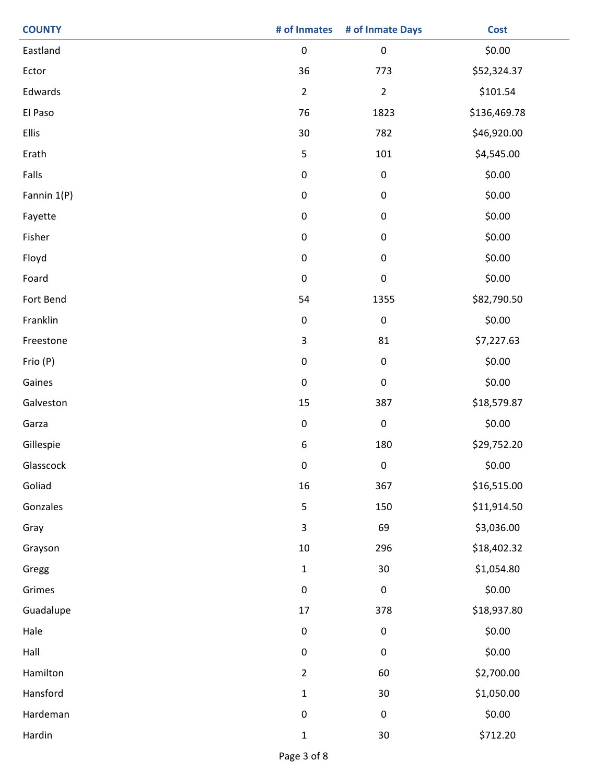| <b>COUNTY</b> | # of Inmates | # of Inmate Days | <b>Cost</b>  |
|---------------|--------------|------------------|--------------|
| Eastland      | $\pmb{0}$    | $\pmb{0}$        | \$0.00       |
| Ector         | 36           | 773              | \$52,324.37  |
| Edwards       | $\mathbf 2$  | $\overline{2}$   | \$101.54     |
| El Paso       | 76           | 1823             | \$136,469.78 |
| Ellis         | 30           | 782              | \$46,920.00  |
| Erath         | $\mathsf S$  | 101              | \$4,545.00   |
| Falls         | $\pmb{0}$    | $\pmb{0}$        | \$0.00       |
| Fannin 1(P)   | $\pmb{0}$    | $\pmb{0}$        | \$0.00       |
| Fayette       | $\pmb{0}$    | $\pmb{0}$        | \$0.00       |
| Fisher        | $\pmb{0}$    | $\pmb{0}$        | \$0.00       |
| Floyd         | $\mathbf 0$  | $\pmb{0}$        | \$0.00       |
| Foard         | $\pmb{0}$    | $\pmb{0}$        | \$0.00       |
| Fort Bend     | 54           | 1355             | \$82,790.50  |
| Franklin      | $\pmb{0}$    | $\pmb{0}$        | \$0.00       |
| Freestone     | $\mathbf{3}$ | 81               | \$7,227.63   |
| Frio (P)      | $\pmb{0}$    | $\pmb{0}$        | \$0.00       |
| Gaines        | $\pmb{0}$    | $\pmb{0}$        | \$0.00       |
| Galveston     | 15           | 387              | \$18,579.87  |
| Garza         | $\pmb{0}$    | $\pmb{0}$        | \$0.00       |
| Gillespie     | 6            | 180              | \$29,752.20  |
| Glasscock     | 0            | 0                | \$0.00       |
| Goliad        | 16           | 367              | \$16,515.00  |
| Gonzales      | $\sf 5$      | 150              | \$11,914.50  |
| Gray          | $\mathsf 3$  | 69               | \$3,036.00   |
| Grayson       | $10\,$       | 296              | \$18,402.32  |
| Gregg         | $\mathbf{1}$ | 30               | \$1,054.80   |
| Grimes        | $\pmb{0}$    | $\pmb{0}$        | \$0.00       |
| Guadalupe     | 17           | 378              | \$18,937.80  |
| Hale          | $\pmb{0}$    | $\pmb{0}$        | \$0.00       |
| Hall          | $\pmb{0}$    | $\pmb{0}$        | \$0.00       |
| Hamilton      | $\mathbf 2$  | 60               | \$2,700.00   |
| Hansford      | $\mathbf{1}$ | 30               | \$1,050.00   |
| Hardeman      | $\pmb{0}$    | $\pmb{0}$        | \$0.00       |
| Hardin        | $\mathbf 1$  | $30\,$           | \$712.20     |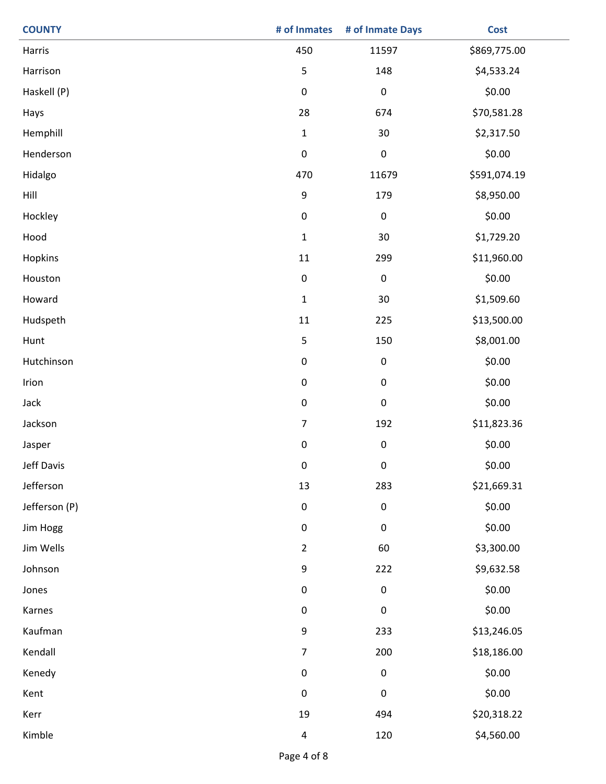| <b>COUNTY</b> | # of Inmates             | # of Inmate Days | <b>Cost</b>  |
|---------------|--------------------------|------------------|--------------|
| Harris        | 450                      | 11597            | \$869,775.00 |
| Harrison      | 5                        | 148              | \$4,533.24   |
| Haskell (P)   | $\pmb{0}$                | $\pmb{0}$        | \$0.00       |
| Hays          | 28                       | 674              | \$70,581.28  |
| Hemphill      | $\mathbf 1$              | 30               | \$2,317.50   |
| Henderson     | $\pmb{0}$                | $\pmb{0}$        | \$0.00       |
| Hidalgo       | 470                      | 11679            | \$591,074.19 |
| Hill          | $\boldsymbol{9}$         | 179              | \$8,950.00   |
| Hockley       | $\pmb{0}$                | $\pmb{0}$        | \$0.00       |
| Hood          | $\mathbf{1}$             | 30               | \$1,729.20   |
| Hopkins       | 11                       | 299              | \$11,960.00  |
| Houston       | $\pmb{0}$                | $\pmb{0}$        | \$0.00       |
| Howard        | $\mathbf 1$              | 30               | \$1,509.60   |
| Hudspeth      | 11                       | 225              | \$13,500.00  |
| Hunt          | 5                        | 150              | \$8,001.00   |
| Hutchinson    | $\pmb{0}$                | 0                | \$0.00       |
| Irion         | $\pmb{0}$                | 0                | \$0.00       |
| Jack          | $\pmb{0}$                | $\pmb{0}$        | \$0.00       |
| Jackson       | $\overline{\mathcal{I}}$ | 192              | \$11,823.36  |
| Jasper        | $\pmb{0}$                | 0                | \$0.00       |
| Jeff Davis    | 0                        | 0                | \$0.00       |
| Jefferson     | 13                       | 283              | \$21,669.31  |
| Jefferson (P) | $\pmb{0}$                | $\pmb{0}$        | \$0.00       |
| Jim Hogg      | $\pmb{0}$                | 0                | \$0.00       |
| Jim Wells     | $\overline{2}$           | 60               | \$3,300.00   |
| Johnson       | $\boldsymbol{9}$         | 222              | \$9,632.58   |
| Jones         | $\pmb{0}$                | 0                | \$0.00       |
| Karnes        | $\pmb{0}$                | $\pmb{0}$        | \$0.00       |
| Kaufman       | $\boldsymbol{9}$         | 233              | \$13,246.05  |
| Kendall       | $\overline{7}$           | 200              | \$18,186.00  |
| Kenedy        | $\pmb{0}$                | 0                | \$0.00       |
| Kent          | $\pmb{0}$                | $\pmb{0}$        | \$0.00       |
| Kerr          | 19                       | 494              | \$20,318.22  |
| Kimble        | 4                        | 120              | \$4,560.00   |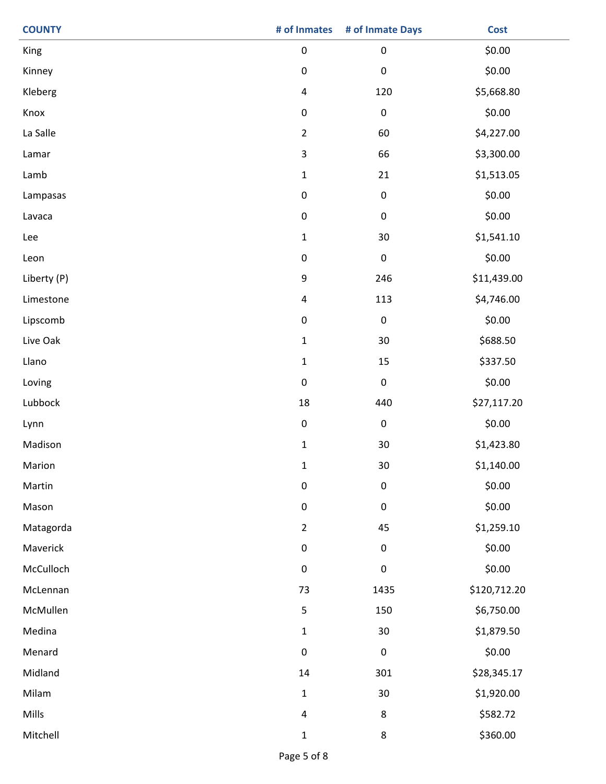| <b>COUNTY</b> | # of Inmates            | # of Inmate Days | <b>Cost</b>  |
|---------------|-------------------------|------------------|--------------|
| King          | $\pmb{0}$               | $\pmb{0}$        | \$0.00       |
| Kinney        | $\pmb{0}$               | $\pmb{0}$        | \$0.00       |
| Kleberg       | $\overline{\mathbf{4}}$ | 120              | \$5,668.80   |
| Knox          | $\pmb{0}$               | $\pmb{0}$        | \$0.00       |
| La Salle      | $\overline{2}$          | 60               | \$4,227.00   |
| Lamar         | $\mathbf{3}$            | 66               | \$3,300.00   |
| Lamb          | $\mathbf 1$             | 21               | \$1,513.05   |
| Lampasas      | $\pmb{0}$               | $\pmb{0}$        | \$0.00       |
| Lavaca        | $\pmb{0}$               | $\pmb{0}$        | \$0.00       |
| Lee           | $\mathbf{1}$            | 30               | \$1,541.10   |
| Leon          | $\pmb{0}$               | $\pmb{0}$        | \$0.00       |
| Liberty (P)   | 9                       | 246              | \$11,439.00  |
| Limestone     | $\overline{\mathbf{4}}$ | 113              | \$4,746.00   |
| Lipscomb      | $\pmb{0}$               | $\pmb{0}$        | \$0.00       |
| Live Oak      | $\mathbf 1$             | 30               | \$688.50     |
| Llano         | $\mathbf{1}$            | 15               | \$337.50     |
| Loving        | $\pmb{0}$               | $\pmb{0}$        | \$0.00       |
| Lubbock       | 18                      | 440              | \$27,117.20  |
| Lynn          | $\mathbf 0$             | $\pmb{0}$        | \$0.00       |
| Madison       | $\mathbf{1}$            | 30               | \$1,423.80   |
| Marion        | $\mathbf{1}$            | $30\,$           | \$1,140.00   |
| Martin        | $\pmb{0}$               | $\pmb{0}$        | \$0.00       |
| Mason         | $\pmb{0}$               | $\pmb{0}$        | \$0.00       |
| Matagorda     | $\overline{2}$          | 45               | \$1,259.10   |
| Maverick      | $\pmb{0}$               | $\pmb{0}$        | \$0.00       |
| McCulloch     | $\pmb{0}$               | $\pmb{0}$        | \$0.00       |
| McLennan      | 73                      | 1435             | \$120,712.20 |
| McMullen      | $\mathsf S$             | 150              | \$6,750.00   |
| Medina        | $\mathbf 1$             | $30\,$           | \$1,879.50   |
| Menard        | $\pmb{0}$               | $\pmb{0}$        | \$0.00       |
| Midland       | $14\,$                  | 301              | \$28,345.17  |
| Milam         | $\mathbf{1}$            | 30               | \$1,920.00   |
| Mills         | $\overline{\mathbf{4}}$ | $\bf 8$          | \$582.72     |
| Mitchell      | $\mathbf{1}$            | $\bf 8$          | \$360.00     |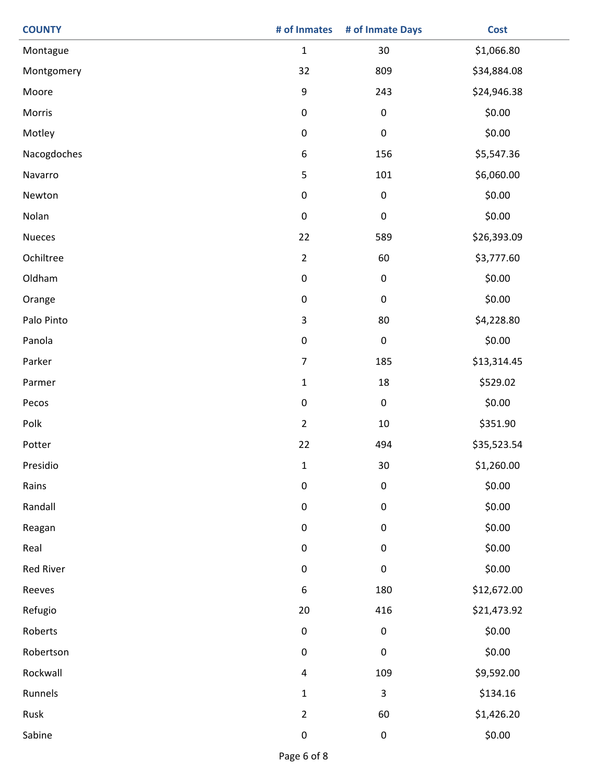| <b>COUNTY</b> | # of Inmates              | # of Inmate Days | <b>Cost</b> |
|---------------|---------------------------|------------------|-------------|
| Montague      | $\mathbf 1$               | 30               | \$1,066.80  |
| Montgomery    | 32                        | 809              | \$34,884.08 |
| Moore         | $\boldsymbol{9}$          | 243              | \$24,946.38 |
| Morris        | $\pmb{0}$                 | $\pmb{0}$        | \$0.00      |
| Motley        | $\pmb{0}$                 | $\pmb{0}$        | \$0.00      |
| Nacogdoches   | $\boldsymbol{6}$          | 156              | \$5,547.36  |
| Navarro       | $\mathsf S$               | 101              | \$6,060.00  |
| Newton        | $\pmb{0}$                 | $\pmb{0}$        | \$0.00      |
| Nolan         | $\pmb{0}$                 | $\pmb{0}$        | \$0.00      |
| <b>Nueces</b> | 22                        | 589              | \$26,393.09 |
| Ochiltree     | $\overline{2}$            | 60               | \$3,777.60  |
| Oldham        | $\pmb{0}$                 | 0                | \$0.00      |
| Orange        | $\pmb{0}$                 | 0                | \$0.00      |
| Palo Pinto    | $\ensuremath{\mathsf{3}}$ | 80               | \$4,228.80  |
| Panola        | $\pmb{0}$                 | $\pmb{0}$        | \$0.00      |
| Parker        | $\boldsymbol{7}$          | 185              | \$13,314.45 |
| Parmer        | $\mathbf 1$               | 18               | \$529.02    |
| Pecos         | $\pmb{0}$                 | $\pmb{0}$        | \$0.00      |
| Polk          | $\mathbf 2$               | $10\,$           | \$351.90    |
| Potter        | 22                        | 494              | \$35,523.54 |
| Presidio      | $\mathbf{1}$              | $30\,$           | \$1,260.00  |
| Rains         | $\pmb{0}$                 | $\pmb{0}$        | \$0.00      |
| Randall       | $\pmb{0}$                 | 0                | \$0.00      |
| Reagan        | $\pmb{0}$                 | 0                | \$0.00      |
| Real          | $\pmb{0}$                 | 0                | \$0.00      |
| Red River     | $\pmb{0}$                 | 0                | \$0.00      |
| Reeves        | $\boldsymbol{6}$          | 180              | \$12,672.00 |
| Refugio       | 20                        | 416              | \$21,473.92 |
| Roberts       | $\pmb{0}$                 | $\pmb{0}$        | \$0.00      |
| Robertson     | $\pmb{0}$                 | $\pmb{0}$        | \$0.00      |
| Rockwall      | $\overline{\mathcal{A}}$  | 109              | \$9,592.00  |
| Runnels       | $\mathbf{1}$              | 3                | \$134.16    |
| Rusk          | $\overline{2}$            | 60               | \$1,426.20  |
| Sabine        | $\pmb{0}$                 | $\pmb{0}$        | \$0.00      |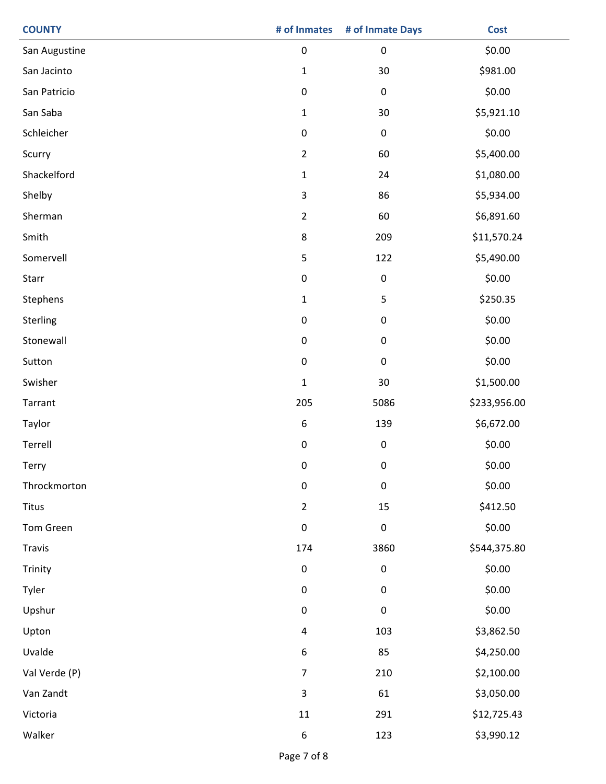| <b>COUNTY</b> | # of Inmates     | # of Inmate Days | <b>Cost</b>  |
|---------------|------------------|------------------|--------------|
| San Augustine | $\pmb{0}$        | $\pmb{0}$        | \$0.00       |
| San Jacinto   | $\mathbf{1}$     | 30               | \$981.00     |
| San Patricio  | $\pmb{0}$        | $\pmb{0}$        | \$0.00       |
| San Saba      | $\mathbf{1}$     | 30               | \$5,921.10   |
| Schleicher    | $\pmb{0}$        | $\pmb{0}$        | \$0.00       |
| Scurry        | $\overline{2}$   | 60               | \$5,400.00   |
| Shackelford   | $\mathbf 1$      | 24               | \$1,080.00   |
| Shelby        | $\mathsf 3$      | 86               | \$5,934.00   |
| Sherman       | $\mathbf 2$      | 60               | \$6,891.60   |
| Smith         | $\bf 8$          | 209              | \$11,570.24  |
| Somervell     | 5                | 122              | \$5,490.00   |
| Starr         | $\pmb{0}$        | 0                | \$0.00       |
| Stephens      | $\mathbf 1$      | 5                | \$250.35     |
| Sterling      | $\pmb{0}$        | 0                | \$0.00       |
| Stonewall     | $\pmb{0}$        | 0                | \$0.00       |
| Sutton        | $\pmb{0}$        | $\pmb{0}$        | \$0.00       |
| Swisher       | $\mathbf 1$      | 30               | \$1,500.00   |
| Tarrant       | 205              | 5086             | \$233,956.00 |
| Taylor        | $\boldsymbol{6}$ | 139              | \$6,672.00   |
| Terrell       | $\pmb{0}$        | $\pmb{0}$        | \$0.00       |
| Terry         | 0                | 0                | \$0.00       |
| Throckmorton  | $\pmb{0}$        | $\pmb{0}$        | \$0.00       |
| Titus         | $\mathbf 2$      | 15               | \$412.50     |
| Tom Green     | $\pmb{0}$        | $\pmb{0}$        | \$0.00       |
| Travis        | 174              | 3860             | \$544,375.80 |
| Trinity       | $\pmb{0}$        | $\pmb{0}$        | \$0.00       |
| Tyler         | $\pmb{0}$        | 0                | \$0.00       |
| Upshur        | $\pmb{0}$        | $\pmb{0}$        | \$0.00       |
| Upton         | $\pmb{4}$        | 103              | \$3,862.50   |
| Uvalde        | $\boldsymbol{6}$ | 85               | \$4,250.00   |
| Val Verde (P) | $\boldsymbol{7}$ | 210              | \$2,100.00   |
| Van Zandt     | $\mathsf 3$      | 61               | \$3,050.00   |
| Victoria      | $11\,$           | 291              | \$12,725.43  |
| Walker        | 6                | 123              | \$3,990.12   |